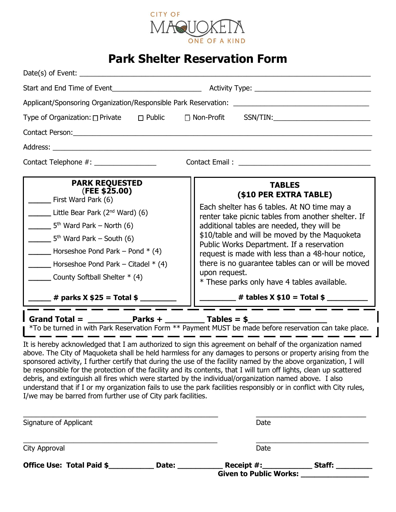

## **Park Shelter Reservation Form**

|                                                                                                                                                                                                                                                                                                                                        | Applicant/Sponsoring Organization/Responsible Park Reservation: _________________                                                                                                                                                                                                                                                                                                                                                                                 |  |
|----------------------------------------------------------------------------------------------------------------------------------------------------------------------------------------------------------------------------------------------------------------------------------------------------------------------------------------|-------------------------------------------------------------------------------------------------------------------------------------------------------------------------------------------------------------------------------------------------------------------------------------------------------------------------------------------------------------------------------------------------------------------------------------------------------------------|--|
|                                                                                                                                                                                                                                                                                                                                        | Type of Organization: □ Private □ Public □ Non-Profit SSN/TIN: _________________                                                                                                                                                                                                                                                                                                                                                                                  |  |
|                                                                                                                                                                                                                                                                                                                                        |                                                                                                                                                                                                                                                                                                                                                                                                                                                                   |  |
| Address: Analysis and the state of the state of the state of the state of the state of the state of the state of the state of the state of the state of the state of the state of the state of the state of the state of the s                                                                                                         |                                                                                                                                                                                                                                                                                                                                                                                                                                                                   |  |
| Contact Telephone #: ________________                                                                                                                                                                                                                                                                                                  |                                                                                                                                                                                                                                                                                                                                                                                                                                                                   |  |
| <b>PARK REQUESTED</b><br>(FEE \$25.00)<br>___ First Ward Park (6)<br>Little Bear Park $(2^{nd}$ Ward) $(6)$<br>$5th$ Ward Park – North (6)<br>$\frac{1}{2}$ 5 <sup>th</sup> Ward Park – South (6)<br>$\Box$ Horseshoe Pond Park – Pond $*(4)$<br>Horseshoe Pond Park – Citadel $*$ (4)<br>$\frac{1}{2}$ County Softball Shelter $*(4)$ | <b>TABLES</b><br>(\$10 PER EXTRA TABLE)<br>Each shelter has 6 tables. At NO time may a<br>renter take picnic tables from another shelter. If<br>additional tables are needed, they will be<br>\$10/table and will be moved by the Maquoketa<br>Public Works Department. If a reservation<br>request is made with less than a 48-hour notice,<br>there is no guarantee tables can or will be moved<br>upon request.<br>* These parks only have 4 tables available. |  |
| $\frac{1}{2}$ # parks X \$25 = Total \$                                                                                                                                                                                                                                                                                                | $\frac{1}{2}$ # tables X \$10 = Total \$                                                                                                                                                                                                                                                                                                                                                                                                                          |  |
| Grand Total = $\frac{p}{1-p}$ Parks + $\frac{p}{1-p}$ Tables = \$                                                                                                                                                                                                                                                                      | *To be turned in with Park Reservation Form ** Payment MUST be made before reservation can take place.<br>It is hereby acknowledged that I am authorized to sign this agreement on behalf of the organization named                                                                                                                                                                                                                                               |  |

above. The City of Maquoketa shall be held harmless for any damages to persons or property arising from the sponsored activity, I further certify that during the use of the facility named by the above organization, I will be responsible for the protection of the facility and its contents, that I will turn off lights, clean up scattered debris, and extinguish all fires which were started by the individual/organization named above. I also understand that if I or my organization fails to use the park facilities responsibly or in conflict with City rules, I/we may be barred from further use of City park facilities.

| Date:                  | Receipt #: | Staff: |                               |
|------------------------|------------|--------|-------------------------------|
|                        | Date       |        |                               |
| Signature of Applicant |            | Date   |                               |
|                        |            |        | <b>Given to Public Works:</b> |